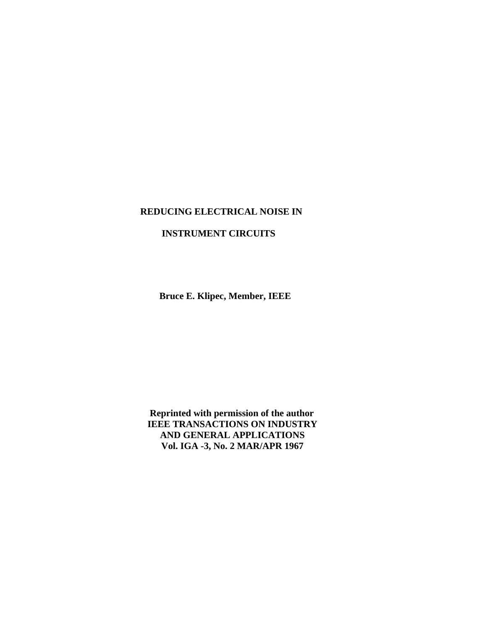# **REDUCING ELECTRICAL NOISE IN**

# **INSTRUMENT CIRCUITS**

 **Bruce E. Klipec, Member, IEEE**

 **Reprinted with permission of the author IEEE TRANSACTIONS ON INDUSTRY AND GENERAL APPLICATIONS Vol. IGA -3, No. 2 MAR/APR 1967**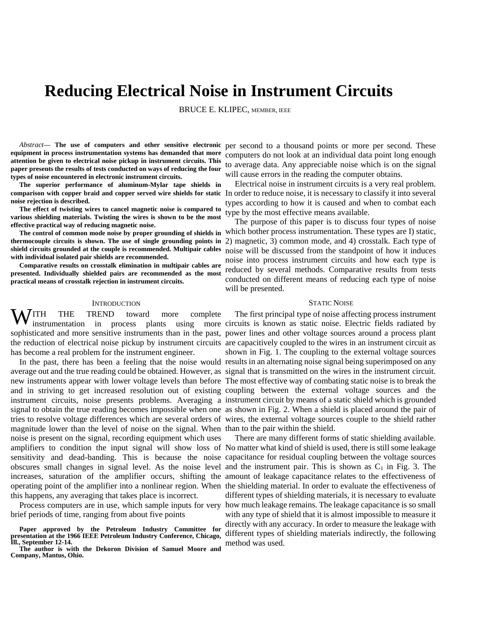# **Reducing Electrical Noise in Instrument Circuits**

BRUCE E. KLIPEC, MEMBER, IEEE

*Abstract***— The use of computers and other sensitive electronic equipment in process instrumentation systems has demanded that more attention be given to electrical noise pickup in instrument circuits. This paper presents the results of tests conducted on ways of reducing the four types of noise encountered in electronic instrument circuits.**

**The superior performance of aluminum-Mylar tape shields in comparison with copper braid and copper served wire shields for static**  In order to reduce noise, it is necessary to classify it into several **noise rejection is described.**

**The effect of twisting wires to cancel magnetic noise is compared to various shielding materials. Twisting the wires is shown to be the most effective practical way of reducing magnetic noise.**

**thermocouple circuits is shown. The use of single grounding points in shield circuits grounded at the couple is recommended. Multipair cables with individual isolated pair shields are recommended.**

**Comparative results on crosstalk elimination in multipair cables are presented. Individually shielded pairs are recommended as the most practical means of crosstalk rejection in instrument circuits.**

#### **INTRODUCTION**

THE TREND toward more complete instrumentation in process plants using sophisticated and more sensitive instruments than in the past, power lines and other voltage sources around a process plant the reduction of electrical noise pickup by instrument circuits are capacitively coupled to the wires in an instrument circuit as has become a real problem for the instrument engineer.  $\rm W$ ith

average out and the true reading could be obtained. However, as signal that is transmitted on the wires in the instrument circuit. new instruments appear with lower voltage levels than before The most effective way of combating static noise is to break the and in striving to get increased resolution out of existing coupling between the external voltage sources and the instrument circuits, noise presents problems. Averaging a instrument circuit by means of a static shield which is grounded signal to obtain the true reading becomes impossible when one as shown in Fig. 2. When a shield is placed around the pair of tries to resolve voltage differences which are several orders of wires, the external voltage sources couple to the shield rather magnitude lower than the level of noise on the signal. When than to the pair within the shield. noise is present on the signal, recording equipment which uses amplifiers to condition the input signal will show loss of No matter what kind of shield is used, there is still some leakage sensitivity and dead-banding. This is because the noise capacitance for residual coupling between the voltage sources obscures small changes in signal level. As the noise level and the instrument pair. This is shown as  $C_1$  in Fig. 3. The increases, saturation of the amplifier occurs, shifting the amount of leakage capacitance relates to the effectiveness of operating point of the amplifier into a nonlinear region. When the shielding material. In order to evaluate the effectiveness of this happens, any averaging that takes place is incorrect.

Process computers are in use, which sample inputs for very brief periods of time, ranging from about five points

per second to a thousand points or more per second. These computers do not look at an individual data point long enough to average data. Any appreciable noise which is on the signal will cause errors in the reading the computer obtains.

Electrical noise in instrument circuits is a very real problem. types according to how it is caused and when to combat each type by the most effective means available.

**The control of common mode noise by proper grounding of shields in**  which bother process instrumentation. These types are I) static, The purpose of this paper is to discuss four types of noise 2) magnetic, 3) common mode, and 4) crosstalk. Each type of noise will be discussed from the standpoint of how it induces noise into process instrument circuits and how each type is reduced by several methods. Comparative results from tests conducted on different means of reducing each type of noise will be presented.

#### STATIC NOISE

In the past, there has been a feeling that the noise would results in an alternating noise signal being superimposed on any The first principal type of noise affecting process instrument more circuits is known as static noise. Electric fields radiated by shown in Fig. 1. The coupling to the external voltage sources

> There are many different forms of static shielding available. different types of shielding materials, it is necessary to evaluate how much leakage remains. The leakage capacitance is so small with any type of shield that it is almost impossible to measure it directly with any accuracy. In order to measure the leakage with different types of shielding materials indirectly, the following method was used.

**Paper approved by the Petroleum Industry Committee for presentation at the 1966 IEEE Petroleum Industry Conference, Chicago, Ill., September 12-14.**

**The author is with the Dekoron Division of Samuel Moore and Company, Mantus, Ohio.**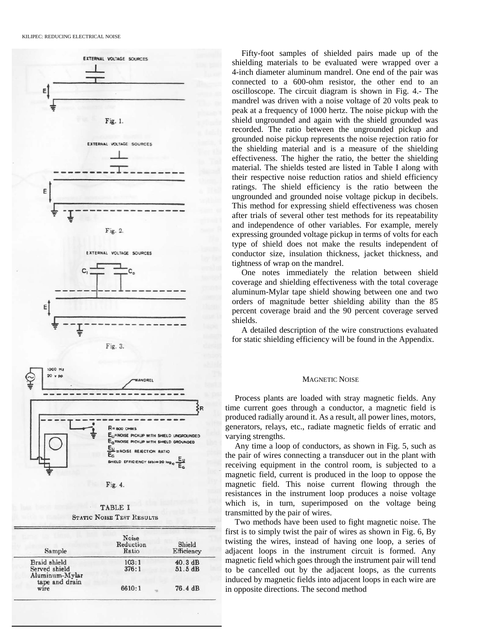



| Sample                                            | Noise<br>Reduction<br>Ratio | Shield<br>Efficiency |
|---------------------------------------------------|-----------------------------|----------------------|
| Braid shield                                      | 103:1                       | 40.3 dB              |
| Served shield<br>Aluminum-Mylar<br>tape and drain | 376:1                       | 51.5dB               |
| wire                                              | 6610:1                      | 76.4 dB              |

Fifty-foot samples of shielded pairs made up of the shielding materials to be evaluated were wrapped over a 4-inch diameter aluminum mandrel. One end of the pair was connected to a 600-ohm resistor, the other end to an oscilloscope. The circuit diagram is shown in Fig. 4.- The mandrel was driven with a noise voltage of 20 volts peak to peak at a frequency of 1000 hertz. The noise pickup with the shield ungrounded and again with the shield grounded was recorded. The ratio between the ungrounded pickup and grounded noise pickup represents the noise rejection ratio for the shielding material and is a measure of the shielding effectiveness. The higher the ratio, the better the shielding material. The shields tested are listed in Table I along with their respective noise reduction ratios and shield efficiency ratings. The shield efficiency is the ratio between the ungrounded and grounded noise voltage pickup in decibels. This method for expressing shield effectiveness was chosen after trials of several other test methods for its repeatability and independence of other variables. For example, merely expressing grounded voltage pickup in terms of volts for each type of shield does not make the results independent of conductor size, insulation thickness, jacket thickness, and tightness of wrap on the mandrel.

One notes immediately the relation between shield coverage and shielding effectiveness with the total coverage aluminum-Mylar tape shield showing between one and two orders of magnitude better shielding ability than the 85 percent coverage braid and the 90 percent coverage served shields.

A detailed description of the wire constructions evaluated for static shielding efficiency will be found in the Appendix.

#### MAGNETIC NOISE

Process plants are loaded with stray magnetic fields. Any time current goes through a conductor, a magnetic field is produced radially around it. As a result, all power lines, motors, generators, relays, etc., radiate magnetic fields of erratic and varying strengths.

Any time a loop of conductors, as shown in Fig. 5, such as the pair of wires connecting a transducer out in the plant with receiving equipment in the control room, is subjected to a magnetic field, current is produced in the loop to oppose the magnetic field. This noise current flowing through the resistances in the instrument loop produces a noise voltage which is, in turn, superimposed on the voltage being transmitted by the pair of wires.

Two methods have been used to fight magnetic noise. The first is to simply twist the pair of wires as shown in Fig. 6, By twisting the wires, instead of having one loop, a series of adjacent loops in the instrument circuit is formed. Any magnetic field which goes through the instrument pair will tend to be cancelled out by the adjacent loops, as the currents induced by magnetic fields into adjacent loops in each wire are in opposite directions. The second method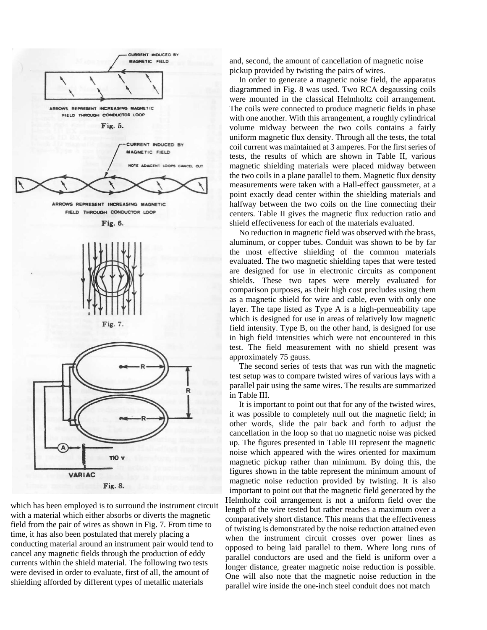

which has been employed is to surround the instrument circuit with a material which either absorbs or diverts the magnetic field from the pair of wires as shown in Fig. 7. From time to time, it has also been postulated that merely placing a conducting material around an instrument pair would tend to cancel any magnetic fields through the production of eddy currents within the shield material. The following two tests were devised in order to evaluate, first of all, the amount of shielding afforded by different types of metallic materials

and, second, the amount of cancellation of magnetic noise pickup provided by twisting the pairs of wires.

In order to generate a magnetic noise field, the apparatus diagrammed in Fig. 8 was used. Two RCA degaussing coils were mounted in the classical Helmholtz coil arrangement. The coils were connected to produce magnetic fields in phase with one another. With this arrangement, a roughly cylindrical volume midway between the two coils contains a fairly uniform magnetic flux density. Through all the tests, the total coil current was maintained at 3 amperes. For the first series of tests, the results of which are shown in Table II, various magnetic shielding materials were placed midway between the two coils in a plane parallel to them. Magnetic flux density measurements were taken with a Hall-effect gaussmeter, at a point exactly dead center within the shielding materials and halfway between the two coils on the line connecting their centers. Table II gives the magnetic flux reduction ratio and shield effectiveness for each of the materials evaluated.

No reduction in magnetic field was observed with the brass, aluminum, or copper tubes. Conduit was shown to be by far the most effective shielding of the common materials evaluated. The two magnetic shielding tapes that were tested are designed for use in electronic circuits as component shields. These two tapes were merely evaluated for comparison purposes, as their high cost precludes using them as a magnetic shield for wire and cable, even with only one layer. The tape listed as Type A is a high-permeability tape which is designed for use in areas of relatively low magnetic field intensity. Type B, on the other hand, is designed for use in high field intensities which were not encountered in this test. The field measurement with no shield present was approximately 75 gauss.

The second series of tests that was run with the magnetic test setup was to compare twisted wires of various lays with a parallel pair using the same wires. The results are summarized in Table III.

It is important to point out that for any of the twisted wires, it was possible to completely null out the magnetic field; in other words, slide the pair back and forth to adjust the cancellation in the loop so that no magnetic noise was picked up. The figures presented in Table III represent the magnetic noise which appeared with the wires oriented for maximum magnetic pickup rather than minimum. By doing this, the figures shown in the table represent the minimum amount of magnetic noise reduction provided by twisting. It is also important to point out that the magnetic field generated by the Helmholtz coil arrangement is not a uniform field over the length of the wire tested but rather reaches a maximum over a comparatively short distance. This means that the effectiveness of twisting is demonstrated by the noise reduction attained even when the instrument circuit crosses over power lines as opposed to being laid parallel to them. Where long runs of parallel conductors are used and the field is uniform over a longer distance, greater magnetic noise reduction is possible. One will also note that the magnetic noise reduction in the parallel wire inside the one-inch steel conduit does not match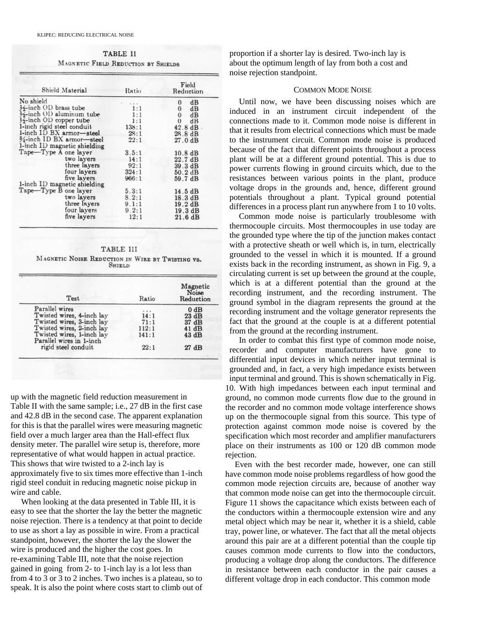TABLE II MAGNETIC FIELD REDUCTION BY SHIELDS

| Shield Material                                           | Ratio | Field<br>Reduction   |
|-----------------------------------------------------------|-------|----------------------|
| No shield                                                 |       | dB<br>$\bf{0}$       |
| 36-inch OD brass tube                                     | 1:1   | $\mathbf{0}$<br>dB   |
| 1/2-inch OD aluminum tube                                 | 1:1   | $\overline{0}$<br>dB |
| 32-inch OD copper tube                                    | 1:1   | $\theta$<br>dB       |
| 1-inch rigid steel conduit                                | 138:1 | 42.8 dB              |
| 1-inch ID BX armor-steel                                  | 28:1  | 28.8dB               |
| 34-inch ID BX armor-steel<br>1-inch ID magnetic shielding | 22:1  | 27.0dB               |
| Tape-Type A one laver                                     | 3.5:1 | 10.8dB               |
| two layers                                                | 14:1  | 22.7dB               |
| three layers                                              | 92:1  | 39.3dB               |
| four layers                                               | 324:1 | $50.2$ dB            |
| five lavers                                               | 966:1 | 59.7 dB              |
| 1-inch ID magnetic shielding                              |       |                      |
| Tape-Type B one layer                                     | 5.3:1 | 14.5dB               |
| two layers                                                | 8.2:1 | 18.3dB               |
| three layers                                              | 9.1:1 | 19.2dB               |
| four layers                                               | 9.2:1 | 19.3dB               |
| five layers                                               | 12:1  | 21.6dB               |

#### TABLE III

MAGNETIC NOISE REDUCTION IN WIRE BY TWISTING VS. SHIELD

| Test                                                  | Ratio | Magnetic<br><b>Noise</b><br>Reduction |
|-------------------------------------------------------|-------|---------------------------------------|
| Parallel wires                                        | .     | $0$ dB                                |
| Twisted wires, 4-inch lay                             | 14:1  | 23 dB                                 |
| Twisted wires, 3-inch lay                             | 71:1  | 37 dB                                 |
| Twisted wires, 2-inch lay                             | 112:1 | 41 dB                                 |
| Twisted wires, 1-inch lay<br>Parallel wires in 1-inch | 141:1 | 43 dB                                 |
| rigid steel conduit                                   | 22:1  | 27dB                                  |

up with the magnetic field reduction measurement in Table II with the same sample; i.e., 27 dB in the first case and 42.8 dB in the second case. The apparent explanation for this is that the parallel wires were measuring magnetic field over a much larger area than the Hall-effect flux density meter. The parallel wire setup is, therefore, more representative of what would happen in actual practice. This shows that wire twisted to a 2-inch lay is approximately five to six times more effective than 1-inch rigid steel conduit in reducing magnetic noise pickup in wire and cable.

 When looking at the data presented in Table III, it is easy to see that the shorter the lay the better the magnetic noise rejection. There is a tendency at that point to decide to use as short a lay as possible in wire. From a practical standpoint, however, the shorter the lay the slower the wire is produced and the higher the cost goes. In re-examining Table III, note that the noise rejection gained in going from 2- to 1-inch lay is a lot less than from 4 to 3 or 3 to 2 inches. Two inches is a plateau, so to speak. It is also the point where costs start to climb out of

proportion if a shorter lay is desired. Two-inch lay is about the optimum length of lay from both a cost and noise rejection standpoint.

#### COMMON MODE NOISE

Until now, we have been discussing noises which are induced in an instrument circuit independent of the connections made to it. Common mode noise is different in that it results from electrical connections which must be made to the instrument circuit. Common mode noise is produced because of the fact that different points throughout a process plant will be at a different ground potential. This is due to power currents flowing in ground circuits which, due to the resistances between various points in the plant, produce voltage drops in the grounds and, hence, different ground potentials throughout a plant. Typical ground potential differences in a process plant run anywhere from 1 to 10 volts.

Common mode noise is particularly troublesome with thermocouple circuits. Most thermocouples in use today are the grounded type where the tip of the junction makes contact with a protective sheath or well which is, in turn, electrically grounded to the vessel in which it is mounted. If a ground exists back in the recording instrument, as shown in Fig. 9, a circulating current is set up between the ground at the couple, which is at a different potential than the ground at the recording instrument, and the recording instrument. The ground symbol in the diagram represents the ground at the recording instrument and the voltage generator represents the fact that the ground at the couple is at a different potential from the ground at the recording instrument.

In order to combat this first type of common mode noise, recorder and computer manufacturers have gone to differential input devices in which neither input terminal is grounded and, in fact, a very high impedance exists between input terminal and ground. This is shown schematically in Fig. 10. With high impedances between each input terminal and ground, no common mode currents flow due to the ground in the recorder and no common mode voltage interference shows up on the thermocouple signal from this source. This type of protection against common mode noise is covered by the specification which most recorder and amplifier manufacturers place on their instruments as 100 or 120 dB common mode rejection.

Even with the best recorder made, however, one can still have common mode noise problems regardless of how good the common mode rejection circuits are, because of another way that common mode noise can get into the thermocouple circuit. Figure 11 shows the capacitance which exists between each of the conductors within a thermocouple extension wire and any metal object which may be near it, whether it is a shield, cable tray, power line, or whatever. The fact that all the metal objects around this pair are at a different potential than the couple tip causes common mode currents to flow into the conductors, producing a voltage drop along the conductors. The difference in resistance between each conductor in the pair causes a different voltage drop in each conductor. This common mode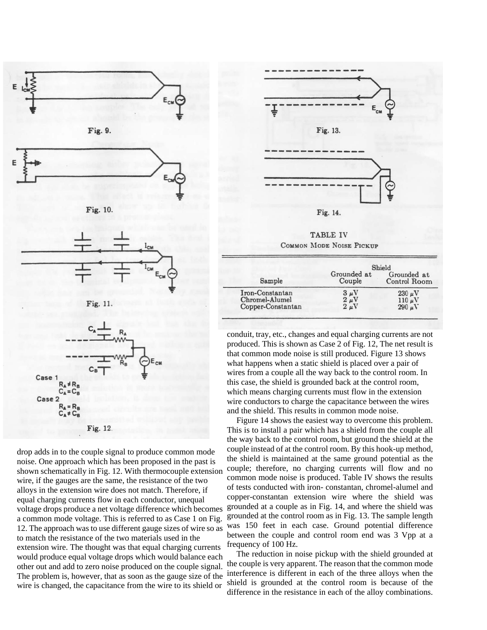



Fig. 12.

drop adds in to the couple signal to produce common mode noise. One approach which has been proposed in the past is shown schematically in Fig. 12. With thermocouple extension wire, if the gauges are the same, the resistance of the two alloys in the extension wire does not match. Therefore, if equal charging currents flow in each conductor, unequal voltage drops produce a net voltage difference which becomes a common mode voltage. This is referred to as Case 1 on Fig. 12. The approach was to use different gauge sizes of wire so as to match the resistance of the two materials used in the extension wire. The thought was that equal charging currents would produce equal voltage drops which would balance each other out and add to zero noise produced on the couple signal. The problem is, however, that as soon as the gauge size of the wire is changed, the capacitance from the wire to its shield or



**TABLE IV** COMMON MODE NOISE PICKUP

| Sample            | Shield                                                 |                             |
|-------------------|--------------------------------------------------------|-----------------------------|
|                   | Grounded at<br>Couple                                  | Grounded at<br>Control Room |
| Iron-Constantan   |                                                        | $230 \mu V$                 |
| Chromel-Alumel    |                                                        | $110 \mu$ V                 |
| Copper-Constantan | $\frac{3}{2} \frac{\mu V}{\mu V}$<br>$\frac{2}{\mu V}$ | $290 \mu V$                 |

conduit, tray, etc., changes and equal charging currents are not produced. This is shown as Case 2 of Fig. 12, The net result is that common mode noise is still produced. Figure 13 shows what happens when a static shield is placed over a pair of wires from a couple all the way back to the control room. In this case, the shield is grounded back at the control room, which means charging currents must flow in the extension wire conductors to charge the capacitance between the wires and the shield. This results in common mode noise.

Figure 14 shows the easiest way to overcome this problem. This is to install a pair which has a shield from the couple all the way back to the control room, but ground the shield at the couple instead of at the control room. By this hook-up method, the shield is maintained at the same ground potential as the couple; therefore, no charging currents will flow and no common mode noise is produced. Table IV shows the results of tests conducted with iron- constantan, chromel-alumel and copper-constantan extension wire where the shield was grounded at a couple as in Fig. 14, and where the shield was grounded at the control room as in Fig. 13. The sample length was 150 feet in each case. Ground potential difference between the couple and control room end was 3 Vpp at a frequency of 100 Hz.

The reduction in noise pickup with the shield grounded at the couple is very apparent. The reason that the common mode interference is different in each of the three alloys when the shield is grounded at the control room is because of the difference in the resistance in each of the alloy combinations.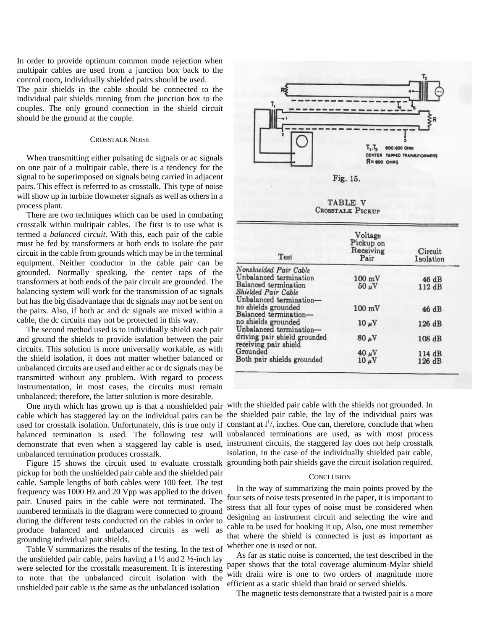In order to provide optimum common mode rejection when multipair cables are used from a junction box back to the control room, individually shielded pairs should be used.

The pair shields in the cable should be connected to the individual pair shields running from the junction box to the couples. The only ground connection in the shield circuit should be the ground at the couple.

# CROSSTALK NOISE

When transmitting either pulsating dc signals or ac signals on one pair of a multipair cable, there is a tendency for the signal to be superimposed on signals being carried in adjacent pairs. This effect is referred to as crosstalk. This type of noise will show up in turbine flowmeter signals as well as others in a process plant.

There are two techniques which can be used in combating crosstalk within multipair cables. The first is to use what is termed a *balanced circuit.* With this, each pair of the cable must be fed by transformers at both ends to isolate the pair circuit in the cable from grounds which may be in the terminal equipment. Neither conductor in the cable pair can be grounded. Normally speaking, the center taps of the transformers at both ends of the pair circuit are grounded. The balancing system will work for the transmission of ac signals but has the big disadvantage that dc signals may not be sent on the pairs. Also, if both ac and dc signals are mixed within a cable, the dc circuits may not be protected in this way.

The second method used is to individually shield each pair and ground the shields to provide isolation between the pair circuits. This solution is more universally workable, as with the shield isolation, it does not matter whether balanced or unbalanced circuits are used and either ac or dc signals may be transmitted without any problem. With regard to process instrumentation, in most cases, the circuits must remain unbalanced; therefore, the latter solution is more desirable.

cable which has staggered lay on the individual pairs can be the shielded pair cable, the lay of the individual pairs was used for crosstalk isolation. Unfortunately, this is true only if constant at  $l^1$ , inches. One can, therefore, conclude that when balanced termination is used. The following test will unbalanced terminations are used, as with most process demonstrate that even when a staggered lay cable is used, unbalanced termination produces crosstalk.

Figure 15 shows the circuit used to evaluate crosstalk pickup for both the unshielded pair cable and the shielded pair cable. Sample lengths of both cables were 100 feet. The test frequency was 1000 Hz and 20 Vpp was applied to the driven pair. Unused pairs in the cable were not terminated. The numbered terminals in the diagram were connected to ground during the different tests conducted on the cables in order to produce balanced and unbalanced circuits as well as grounding individual pair shields.

Table V summarizes the results of the testing. In the test of the unshielded pair cable, pairs having a  $1\frac{1}{2}$  and  $2\frac{1}{2}$ -inch lay were selected for the crosstalk measurement. It is interesting to note that the unbalanced circuit isolation with the unshielded pair cable is the same as the unbalanced isolation



TABLE V **CROSSTALK PICKUP** 

| Test                                           | Voltage<br>Pickup on<br>Receiving<br>Pair | Circuit<br>Isolation |
|------------------------------------------------|-------------------------------------------|----------------------|
| Nonshielded Pair Cable                         |                                           |                      |
| Unbalanced termination                         | $100 \text{ mV}$                          | 46dB                 |
| Balanced termination                           | $50 \mu V$                                | 112 dB               |
| Shielded Pair Cable                            |                                           |                      |
| Unbalanced termination-                        |                                           |                      |
| no shields grounded                            | $100 \text{ mV}$                          | 46 dB                |
| Balanced termination-                          |                                           |                      |
| no shields grounded<br>Unbalanced termination- | $10 \mu V$                                | 126dB                |
| driving pair shield grounded                   |                                           |                      |
| receiving pair shield                          | $80 \mu V$                                | 108dB                |
| Grounded                                       | $40 \mu V$                                |                      |
| Both pair shields grounded                     | $10 \mu V$                                | 114 dB<br>126 dB     |

One myth which has grown up is that a nonshielded pair with the shielded pair cable with the shields not grounded. In instrument circuits, the staggered lay does not help crosstalk isolation, In the case of the individually shielded pair cable, grounding both pair shields gave the circuit isolation required.

#### **CONCLUSION**

In the way of summarizing the main points proved by the four sets of noise tests presented in the paper, it is important to stress that all four types of noise must be considered when designing an instrument circuit and selecting the wire and cable to be used for hooking it up, Also, one must remember that where the shield is connected is just as important as whether one is used or not.

As far as static noise is concerned, the test described in the paper shows that the total coverage aluminum-Mylar shield with drain wire is one to two orders of magnitude more efficient as a static shield than braid or served shields.

The magnetic tests demonstrate that a twisted pair is a more